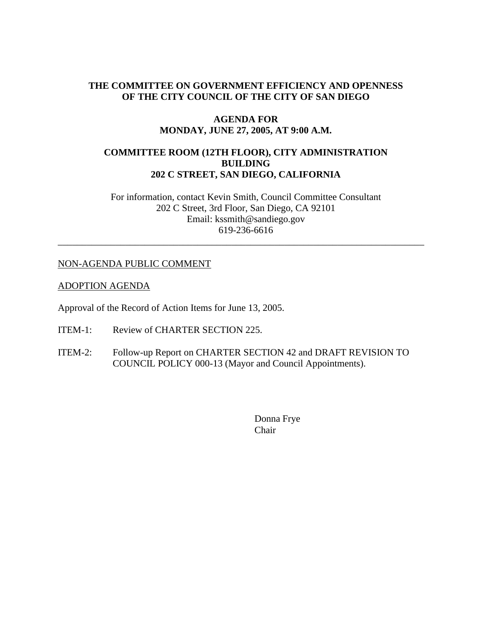## **THE COMMITTEE ON GOVERNMENT EFFICIENCY AND OPENNESS OF THE CITY COUNCIL OF THE CITY OF SAN DIEGO**

#### **AGENDA FOR MONDAY, JUNE 27, 2005, AT 9:00 A.M.**

### **COMMITTEE ROOM (12TH FLOOR), CITY ADMINISTRATION BUILDING 202 C STREET, SAN DIEGO, CALIFORNIA**

For information, contact Kevin Smith, Council Committee Consultant 202 C Street, 3rd Floor, San Diego, CA 92101 Email: kssmith@sandiego.gov 619-236-6616

\_\_\_\_\_\_\_\_\_\_\_\_\_\_\_\_\_\_\_\_\_\_\_\_\_\_\_\_\_\_\_\_\_\_\_\_\_\_\_\_\_\_\_\_\_\_\_\_\_\_\_\_\_\_\_\_\_\_\_\_\_\_\_\_\_\_\_\_\_\_\_\_\_\_\_\_

### NON-AGENDA PUBLIC COMMENT

#### ADOPTION AGENDA

Approval of the Record of Action Items for June 13, 2005.

- ITEM-1: Review of CHARTER SECTION 225.
- ITEM-2: Follow-up Report on CHARTER SECTION 42 and DRAFT REVISION TO COUNCIL POLICY 000-13 (Mayor and Council Appointments).

Donna Frye Chair